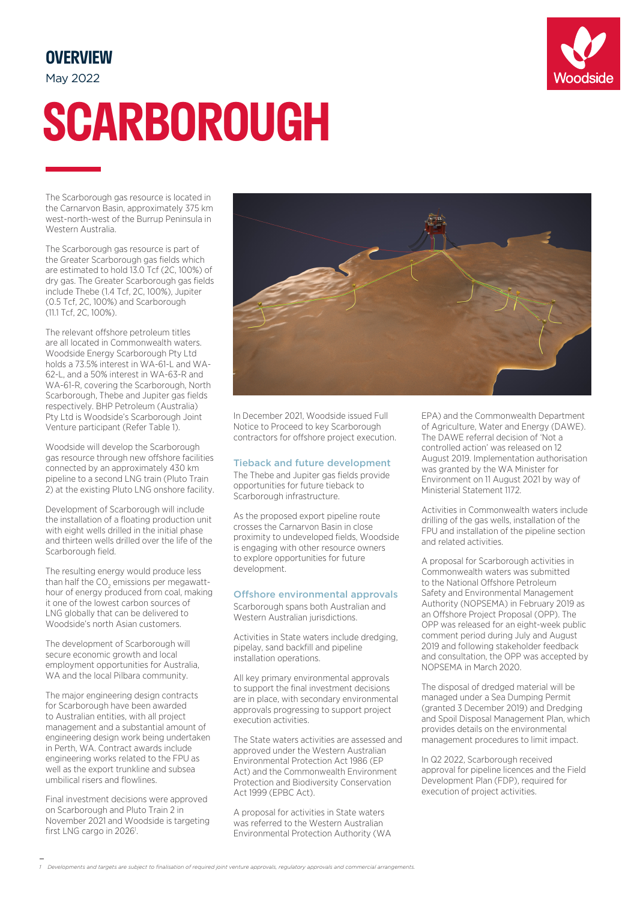# **OVERVIEW**

May 2022

# **SCARBOROUGH**

The Scarborough gas resource is located in the Carnarvon Basin, approximately 375 km west-north-west of the Burrup Peninsula in Western Australia.

The Scarborough gas resource is part of the Greater Scarborough gas fields which are estimated to hold 13.0 Tcf (2C, 100%) of dry gas. The Greater Scarborough gas fields include Thebe (1.4 Tcf, 2C, 100%), Jupiter (0.5 Tcf, 2C, 100%) and Scarborough (11.1 Tcf, 2C, 100%).

The relevant offshore petroleum titles are all located in Commonwealth waters. Woodside Energy Scarborough Pty Ltd holds a 73.5% interest in WA-61-L and WA-62-L, and a 50% interest in WA-63-R and WA-61-R, covering the Scarborough, North Scarborough, Thebe and Jupiter gas fields respectively. BHP Petroleum (Australia) Pty Ltd is Woodside's Scarborough Joint Venture participant (Refer Table 1).

Woodside will develop the Scarborough gas resource through new offshore facilities connected by an approximately 430 km pipeline to a second LNG train (Pluto Train 2) at the existing Pluto LNG onshore facility.

Development of Scarborough will include the installation of a floating production unit with eight wells drilled in the initial phase and thirteen wells drilled over the life of the Scarborough field.

The resulting energy would produce less than half the CO<sub>2</sub> emissions per megawatthour of energy produced from coal, making it one of the lowest carbon sources of LNG globally that can be delivered to Woodside's north Asian customers.

The development of Scarborough will secure economic growth and local employment opportunities for Australia, WA and the local Pilbara community.

The major engineering design contracts for Scarborough have been awarded to Australian entities, with all project management and a substantial amount of engineering design work being undertaken in Perth, WA. Contract awards include engineering works related to the FPU as well as the export trunkline and subsea umbilical risers and flowlines.

Final investment decisions were approved on Scarborough and Pluto Train 2 in November 2021 and Woodside is targeting first LNG cargo in 2026<sup>1</sup>.



In December 2021, Woodside issued Full Notice to Proceed to key Scarborough contractors for offshore project execution.

#### Tieback and future development

The Thebe and Jupiter gas fields provide opportunities for future tieback to Scarborough infrastructure.

As the proposed export pipeline route crosses the Carnarvon Basin in close proximity to undeveloped fields, Woodside is engaging with other resource owners to explore opportunities for future development.

#### Offshore environmental approvals

Scarborough spans both Australian and Western Australian jurisdictions.

Activities in State waters include dredging, pipelay, sand backfill and pipeline installation operations.

All key primary environmental approvals to support the final investment decisions are in place, with secondary environmental approvals progressing to support project execution activities.

The State waters activities are assessed and approved under the Western Australian Environmental Protection Act 1986 (EP Act) and the Commonwealth Environment Protection and Biodiversity Conservation Act 1999 (EPBC Act).

A proposal for activities in State waters was referred to the Western Australian Environmental Protection Authority (WA

EPA) and the Commonwealth Department of Agriculture, Water and Energy (DAWE). The DAWE referral decision of 'Not a controlled action' was released on 12 August 2019. Implementation authorisation was granted by the WA Minister for Environment on 11 August 2021 by way of Ministerial Statement 1172.

Activities in Commonwealth waters include drilling of the gas wells, installation of the FPU and installation of the pipeline section and related activities.

A proposal for Scarborough activities in Commonwealth waters was submitted to the National Offshore Petroleum Safety and Environmental Management Authority (NOPSEMA) in February 2019 as an Offshore Project Proposal (OPP). The OPP was released for an eight-week public comment period during July and August 2019 and following stakeholder feedback and consultation, the OPP was accepted by NOPSEMA in March 2020.

The disposal of dredged material will be managed under a Sea Dumping Permit (granted 3 December 2019) and Dredging and Spoil Disposal Management Plan, which provides details on the environmental management procedures to limit impact.

In Q2 2022, Scarborough received approval for pipeline licences and the Field Development Plan (FDP), required for execution of project activities.